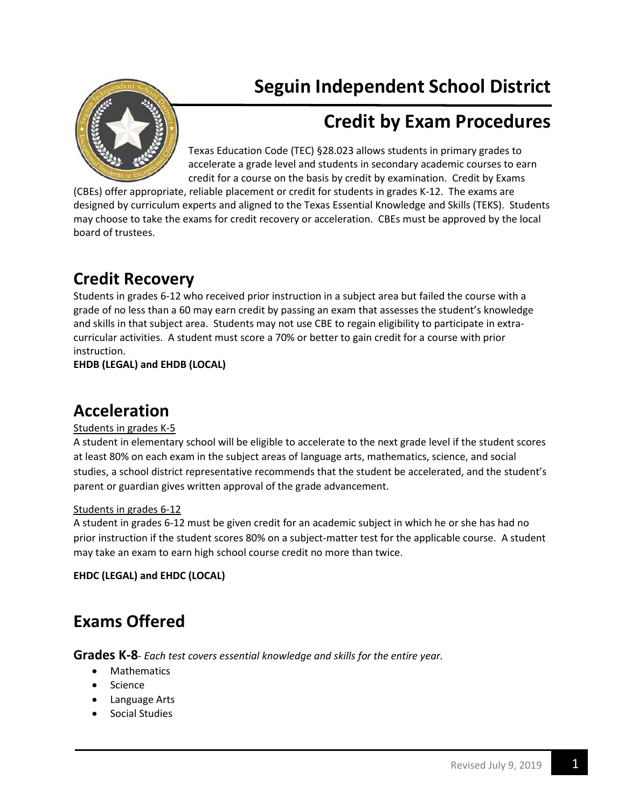# **Seguin Independent School District**

# **Credit by Exam Procedures**

Texas Education Code (TEC) §28.023 allows students in primary grades to accelerate a grade level and students in secondary academic courses to earn credit for a course on the basis by credit by examination. Credit by Exams

(CBEs) offer appropriate, reliable placement or credit for students in grades K-12. The exams are designed by curriculum experts and aligned to the Texas Essential Knowledge and Skills (TEKS). Students may choose to take the exams for credit recovery or acceleration. CBEs must be approved by the local board of trustees.

## **Credit Recovery**

Students in grades 6-12 who received prior instruction in a subject area but failed the course with a grade of no less than a 60 may earn credit by passing an exam that assesses the student's knowledge and skills in that subject area. Students may not use CBE to regain eligibility to participate in extracurricular activities. A student must score a 70% or better to gain credit for a course with prior instruction.

**EHDB (LEGAL) and EHDB (LOCAL)**

### **Acceleration**

#### Students in grades K-5

A student in elementary school will be eligible to accelerate to the next grade level if the student scores at least 80% on each exam in the subject areas of language arts, mathematics, science, and social studies, a school district representative recommends that the student be accelerated, and the student's parent or guardian gives written approval of the grade advancement.

#### Students in grades 6-12

A student in grades 6-12 must be given credit for an academic subject in which he or she has had no prior instruction if the student scores 80% on a subject-matter test for the applicable course. A student may take an exam to earn high school course credit no more than twice.

**EHDC (LEGAL) and EHDC (LOCAL)**

## **Exams Offered**

**Grades K-8**- *Each test covers essential knowledge and skills for the entire year.*

- Mathematics
- Science
- Language Arts
- Social Studies